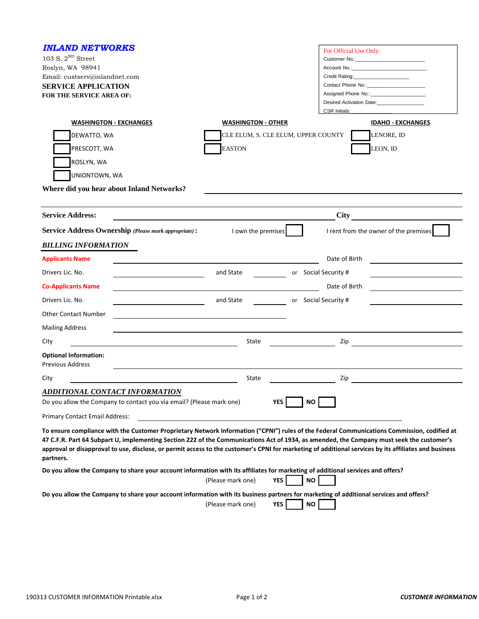| <b>INLAND NETWORKS</b><br>103 S. $2^{ND}$ Street<br>Roslyn, WA 98941<br>Email: custserv@inlandnet.com<br><b>SERVICE APPLICATION</b><br>FOR THE SERVICE AREA OF:<br><b>WASHINGTON - EXCHANGES</b><br>DEWATTO, WA | <b>WASHINGTON - OTHER</b><br>CLE ELUM, S. CLE ELUM, UPPER COUNTY | For Official Use Only:<br>Credit Rating: ______________________<br>Contact Phone No.:<br>Assigned Phone No.: 1999<br>Desired Activation Date:___________________<br><b>CSR Initials:</b><br><b>IDAHO - EXCHANGES</b><br>LENORE, ID                                                                   |
|-----------------------------------------------------------------------------------------------------------------------------------------------------------------------------------------------------------------|------------------------------------------------------------------|------------------------------------------------------------------------------------------------------------------------------------------------------------------------------------------------------------------------------------------------------------------------------------------------------|
| PRESCOTT, WA<br>ROSLYN, WA<br>UNIONTOWN, WA<br>Where did you hear about Inland Networks?                                                                                                                        | <b>EASTON</b>                                                    | LEON, ID                                                                                                                                                                                                                                                                                             |
|                                                                                                                                                                                                                 |                                                                  |                                                                                                                                                                                                                                                                                                      |
| <b>Service Address:</b>                                                                                                                                                                                         |                                                                  | City                                                                                                                                                                                                                                                                                                 |
| <b>Service Address Ownership (Please mark appropriate):</b>                                                                                                                                                     | I own the premises                                               | I rent from the owner of the premises                                                                                                                                                                                                                                                                |
| <b>BILLING INFORMATION</b>                                                                                                                                                                                      |                                                                  |                                                                                                                                                                                                                                                                                                      |
| <b>Applicants Name</b>                                                                                                                                                                                          |                                                                  | Date of Birth                                                                                                                                                                                                                                                                                        |
| Drivers Lic. No.                                                                                                                                                                                                | and State                                                        | or Social Security #                                                                                                                                                                                                                                                                                 |
| <b>Co-Applicants Name</b>                                                                                                                                                                                       |                                                                  | Date of Birth                                                                                                                                                                                                                                                                                        |
| Drivers Lic. No.                                                                                                                                                                                                | and State                                                        | or Social Security #                                                                                                                                                                                                                                                                                 |
| <b>Other Contact Number</b>                                                                                                                                                                                     |                                                                  |                                                                                                                                                                                                                                                                                                      |
| <b>Mailing Address</b>                                                                                                                                                                                          |                                                                  |                                                                                                                                                                                                                                                                                                      |
| City                                                                                                                                                                                                            | State                                                            | Zip                                                                                                                                                                                                                                                                                                  |
| <b>Optional Information:</b><br><b>Previous Address</b>                                                                                                                                                         |                                                                  |                                                                                                                                                                                                                                                                                                      |
| City                                                                                                                                                                                                            | State                                                            | Zip                                                                                                                                                                                                                                                                                                  |
| <b>ADDITIONAL CONTACT INFORMATION</b>                                                                                                                                                                           |                                                                  |                                                                                                                                                                                                                                                                                                      |
| Do you allow the Company to contact you via email? (Please mark one)                                                                                                                                            | YES                                                              | ΝO                                                                                                                                                                                                                                                                                                   |
| Primary Contact Email Address:                                                                                                                                                                                  |                                                                  |                                                                                                                                                                                                                                                                                                      |
| 47 C.F.R. Part 64 Subpart U, implementing Section 222 of the Communications Act of 1934, as amended, the Company must seek the customer's<br>partners.                                                          |                                                                  | To ensure compliance with the Customer Proprietary Network Information ("CPNI") rules of the Federal Communications Commission, codified at<br>approval or disapproval to use, disclose, or permit access to the customer's CPNI for marketing of additional services by its affiliates and business |
| Do you allow the Company to share your account information with its affiliates for marketing of additional services and offers?                                                                                 | (Please mark one)<br><b>YES</b>                                  | ΝO                                                                                                                                                                                                                                                                                                   |
| Do you allow the Company to share your account information with its business partners for marketing of additional services and offers?                                                                          | <b>YES</b><br>(Please mark one)                                  | <b>NO</b>                                                                                                                                                                                                                                                                                            |